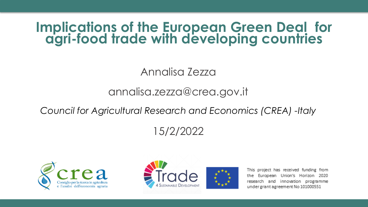#### **Implications of the European Green Deal for agri-food trade with developing countries**

#### Annalisa Zezza

#### annalisa.zezza@crea.gov.it

*Council for Agricultural Research and Economics (CREA) -Italy*

#### 15/2/2022





This project has received funding from the European Union's Horizon 2020 research and innovation programme under grant agreement No 101000551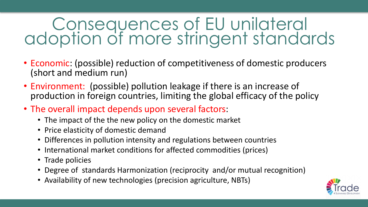# Consequences of EU unilateral adoption of more stringent standards

- Economic: (possible) reduction of competitiveness of domestic producers (short and medium run)
- Environment: (possible) pollution leakage if there is an increase of production in foreign countries, limiting the global efficacy of the policy
- The overall impact depends upon several factors:
	- The impact of the the new policy on the domestic market
	- Price elasticity of domestic demand
	- Differences in pollution intensity and regulations between countries
	- International market conditions for affected commodities (prices)
	- Trade policies
	- Degree of standards Harmonization (reciprocity and/or mutual recognition)
	- Availability of new technologies (precision agriculture, NBTs)

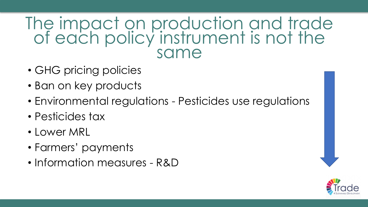### The impact on production and trade of each policy instrument is not the same

- GHG pricing policies
- Ban on key products
- Environmental regulations Pesticides use regulations
- Pesticides tax
- Lower MRL
- Farmers' payments
- Information measures R&D

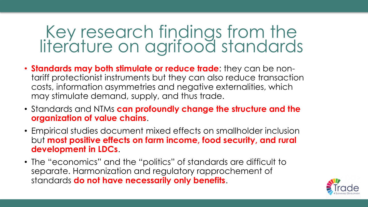# Key research findings from the literature on agrifood standards

- **Standards may both stimulate or reduce trade**: they can be nontariff protectionist instruments but they can also reduce transaction costs, information asymmetries and negative externalities, which may stimulate demand, supply, and thus trade.
- Standards and NTMs **can profoundly change the structure and the organization of value chains**.
- Empirical studies document mixed effects on smallholder inclusion but **most positive effects on farm income, food security, and rural development in LDCs**.
- The "economics" and the "politics" of standards are difficult to separate. Harmonization and regulatory rapprochement of standards **do not have necessarily only benefits**.

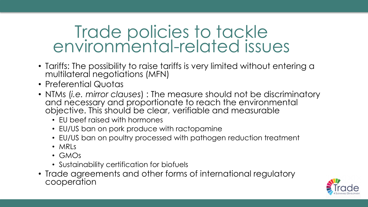# Trade policies to tackle environmental-related issues

- Tariffs: The possibility to raise tariffs is very limited without entering a multilateral negotiations (MFN)
- Preferential Quotas
- NTMs (*i.e. mirror clauses*) : The measure should not be discriminatory and necessary and proportionate to reach the environmental objective. This should be clear, verifiable and measurable
	- EU beef raised with hormones
	- EU/US ban on pork produce with ractopamine
	- EU/US ban on poultry processed with pathogen reduction treatment
	- MRLs
	- GMOs
	- Sustainability certification for biofuels
- Trade agreements and other forms of international regulatory cooperation

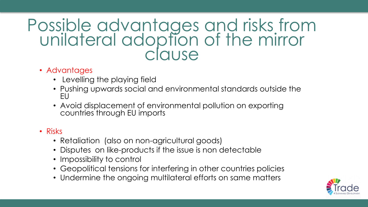### Possible advantages and risks from unilateral adoption of the mirror clause

#### • Advantages

- Levelling the playing field
- Pushing upwards social and environmental standards outside the EU
- Avoid displacement of environmental pollution on exporting countries through EU imports

#### • Risks

- Retaliation (also on non-agricultural goods)
- Disputes on like-products if the issue is non detectable
- Impossibility to control
- Geopolitical tensions for interfering in other countries policies
- Undermine the ongoing multilateral efforts on same matters

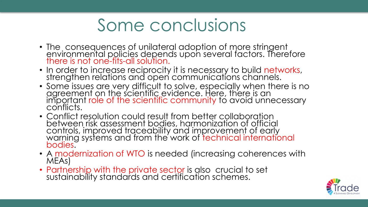# Some conclusions

- The consequences of unilateral adoption of more stringent environmental policies depends upon several factors. Therefore there is not one-fits-all solution.
- In order to increase reciprocity it is necessary to build networks, strengthen relations and open communications channels.
- Some issues are very difficult to solve, especially when there is no agreement on the scientific evidence. Here, there is an important role of the scientific community to avoid unnecessary conflicts.
- Conflict resolution could result from better collaboration between risk assessment bodies, harmonization of official controls, improved traceability and improvement of early warning systems and from the work of technical international bodies.
- A modernization of WTO is needed (increasing coherences with MEAs)
- Partnership with the private sector is also crucial to set sustainability standards and certification schemes.